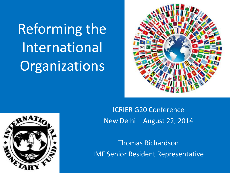Reforming the International **Organizations** 



ICRIER G20 Conference New Delhi – August 22, 2014

Thomas Richardson IMF Senior Resident Representative

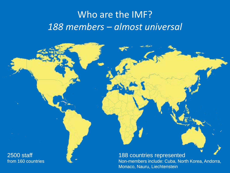### Who are the IMF? *188 members – almost universal*

2500 staff from 160 countries

#### 188 countries represented

Non-members include: Cuba, North Korea, Andorra, Monaco, Nauru, Liechtenstein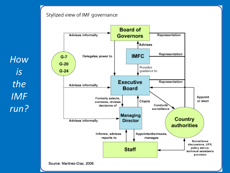#### Stylized view of IMF governance

*How is the IMF run?*



Source: Martinez-Diaz, 2008.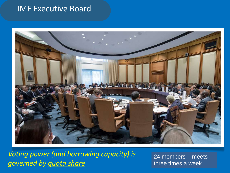#### IMF Executive Board



*Voting power (and borrowing capacity) is governed by quota share*

24 members – meets three times a week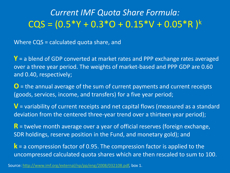#### *Current IMF Quota Share Formula:*  $CCS = (0.5*Y + 0.3*O + 0.15*V + 0.05*R)$

Where CQS = calculated quota share, and

**Y** = a blend of GDP converted at market rates and PPP exchange rates averaged over a three year period. The weights of market-based and PPP GDP are 0.60 and 0.40, respectively;

**O** = the annual average of the sum of current payments and current receipts (goods, services, income, and transfers) for a five year period;

**V** = variability of current receipts and net capital flows (measured as a standard deviation from the centered three-year trend over a thirteen year period);

**R** = twelve month average over a year of official reserves (foreign exchange, SDR holdings, reserve position in the Fund, and monetary gold); and

**k** = a compression factor of 0.95. The compression factor is applied to the uncompressed calculated quota shares which are then rescaled to sum to 100.

Source: http://www.imf.org/external/np/pp/eng/2008/032108.pdf, box 1.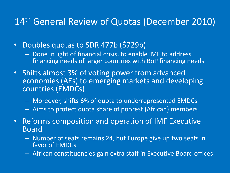#### 14th General Review of Quotas (December 2010)

- Doubles quotas to SDR 477b (\$729b)
	- Done in light of financial crisis, to enable IMF to address financing needs of larger countries with BoP financing needs
- Shifts almost 3% of voting power from advanced economies (AEs) to emerging markets and developing countries (EMDCs)
	- Moreover, shifts 6% of quota to underrepresented EMDCs
	- Aims to protect quota share of poorest (African) members
- Reforms composition and operation of IMF Executive Board
	- Number of seats remains 24, but Europe give up two seats in favor of EMDCs
	- African constituencies gain extra staff in Executive Board offices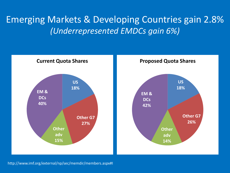#### Emerging Markets & Developing Countries gain 2.8% *(Underrepresented EMDCs gain 6%)*



http://www.imf.org/external/np/sec/memdir/members.aspx#I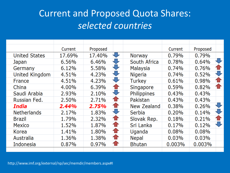### Current and Proposed Quota Shares: *selected countries*

|                      | Current | Proposed |              |                    | Current | Proposed |              |
|----------------------|---------|----------|--------------|--------------------|---------|----------|--------------|
| <b>United States</b> | 17.69%  | 17.40%   | ₩            | <b>Norway</b>      | 0.79%   | 0.79%    |              |
| Japan                | 6.56%   | 6.46%    | ₩            | South Africa       | 0.78%   | 0.64%    | U            |
| Germany              | 6.12%   | 5.58%    | ₩            | Malaysia           | 0.74%   | 0.76%    |              |
| United Kingdom       | 4.51%   | 4.23%    | ₩            | <b>Nigeria</b>     | 0.74%   | 0.52%    |              |
| <b>France</b>        | 4.51%   | 4.23%    | $\sqrt{2}$   | <b>Turkey</b>      | 0.61%   | 0.98%    |              |
| China                | 4.00%   | 6.39%    | $\bullet$    | Singapore          | 0.59%   | 0.82%    | $\mathbf{r}$ |
| Saudi Arabia         | 2.93%   | 2.10%    |              | Philippines        | 0.43%   | 0.43%    |              |
| Russian Fed.         | 2.50%   | 2.71%    | t            | Pakistan           | 0.43%   | 0.43%    |              |
| India                | 2.44%   | 2.75%    | $\mathbf{T}$ | <b>New Zealand</b> | 0.38%   | 0.26%    | U            |
| <b>Netherlands</b>   | 2.17%   | 1.83%    | U            | Serbia             | 0.20%   | 0.14%    |              |
| Brazil               | 1.79%   | 2.32%    | €            | Slovak Rep.        | 0.18%   | 0.21%    | $\bf{r}$     |
| <b>Mexico</b>        | 1.52%   | 1.87%    | €            | Sri Lanka          | 0.17%   | 0.12%    | U            |
| Korea                | 1.41%   | 1.80%    | $\bullet$    | Uganda             | 0.08%   | 0.08%    |              |
| Australia            | 1.36%   | 1.38%    | $\bullet$    | <b>Nepal</b>       | 0.03%   | 0.03%    |              |
| Indonesia            | 0.87%   | 0.97%    | ☎            | <b>Bhutan</b>      | 0.003%  | 0.003%   |              |
|                      |         |          |              |                    |         |          |              |

http://www.imf.org/external/np/sec/memdir/members.aspx#I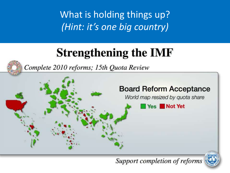What is holding things up? *(Hint: it's one big country)*

# **Strengthening the IMF**



Complete 2010 reforms; 15th Quota Review



Support completion of reforms

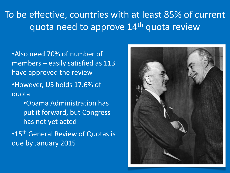### To be effective, countries with at least 85% of current quota need to approve 14<sup>th</sup> quota review

- •Also need 70% of number of members – easily satisfied as 113 have approved the review
- •However, US holds 17.6% of quota
	- •Obama Administration has put it forward, but Congress has not yet acted
- •15<sup>th</sup> General Review of Quotas is due by January 2015

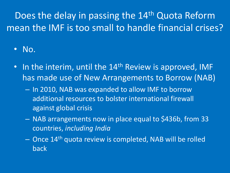## Does the delay in passing the 14<sup>th</sup> Quota Reform mean the IMF is too small to handle financial crises?

• No.

- In the interim, until the  $14<sup>th</sup>$  Review is approved, IMF has made use of New Arrangements to Borrow (NAB)
	- In 2010, NAB was expanded to allow IMF to borrow additional resources to bolster international firewall against global crisis
	- NAB arrangements now in place equal to \$436b, from 33 countries, *including India*
	- Once 14th quota review is completed, NAB will be rolled back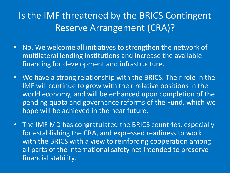### Is the IMF threatened by the BRICS Contingent Reserve Arrangement (CRA)?

- No. We welcome all initiatives to strengthen the network of multilateral lending institutions and increase the available financing for development and infrastructure.
- We have a strong relationship with the BRICS. Their role in the IMF will continue to grow with their relative positions in the world economy, and will be enhanced upon completion of the pending quota and governance reforms of the Fund, which we hope will be achieved in the near future.
- The IMF MD has congratulated the BRICS countries, especially for establishing the CRA, and expressed readiness to work with the BRICS with a view to reinforcing cooperation among all parts of the international safety net intended to preserve financial stability.